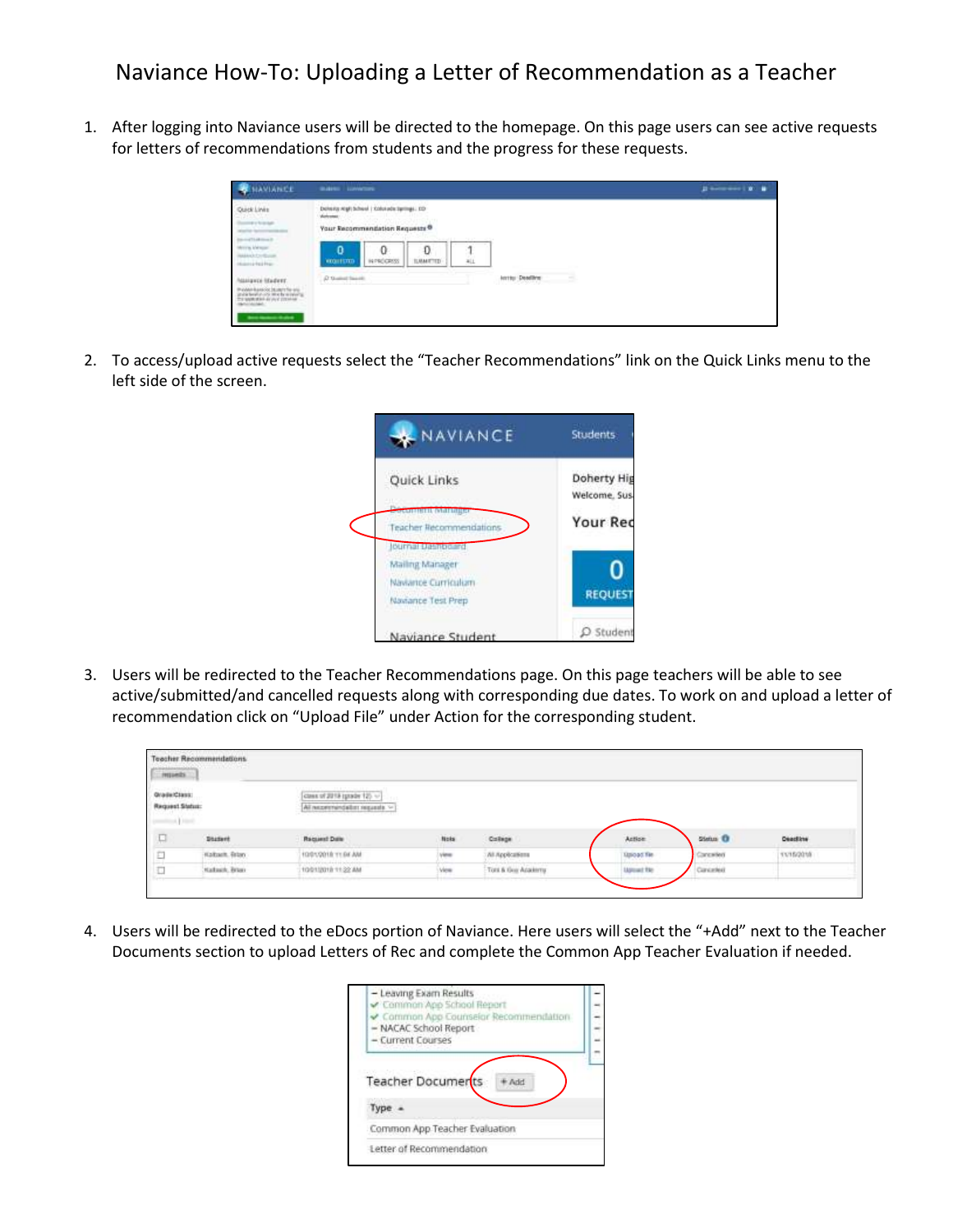## Naviance How-To: Uploading a Letter of Recommendation as a Teacher

1. After logging into Naviance users will be directed to the homepage. On this page users can see active requests for letters of recommendations from students and the progress for these requests.

| HAVIANCE                                                                   | <b>HARRY LOWERS</b>                                                                                 |                                               | $\mathbf{B} = \mathbf{B} + \mathbf{B} + \mathbf{B} + \mathbf{B}$ |
|----------------------------------------------------------------------------|-----------------------------------------------------------------------------------------------------|-----------------------------------------------|------------------------------------------------------------------|
| Quick Links<br><b>HELPING</b>                                              | Deletera regli bichesi   Kolutade Springs, ED<br>Victoriana)<br>Your Recommendation Requests ®      |                                               |                                                                  |
| <b>Samuel Therman</b><br>Merry, Mexico<br><b>NAMES</b><br>Holemarkea Pres- | Service Printers and Service<br>Đ<br>0<br>ø<br>VIOLISTO<br><b>INFROGRESS</b><br><b>SAMTID</b><br>利止 |                                               |                                                                  |
| <b>Managers Istudent</b>                                                   | (2 Suite) Seatt                                                                                     | lerritor Deadline<br>حسب<br><b>CONTRACTOR</b> |                                                                  |
|                                                                            |                                                                                                     |                                               |                                                                  |

2. To access/upload active requests select the "Teacher Recommendations" link on the Quick Links menu to the left side of the screen.



3. Users will be redirected to the Teacher Recommendations page. On this page teachers will be able to see active/submitted/and cancelled requests along with corresponding due dates. To work on and upload a letter of recommendation click on "Upload File" under Action for the corresponding student.

| muezs                                                |                                                  |                                                                                                                                                                                              |      |                    |                   |            |                      |
|------------------------------------------------------|--------------------------------------------------|----------------------------------------------------------------------------------------------------------------------------------------------------------------------------------------------|------|--------------------|-------------------|------------|----------------------|
| 1.24321237<br>Quada Class:<br><b>Request Status:</b> |                                                  | class of 2018 (grade 12). ~<br>i va s<br>All necessived all as seguests. ><br>the property and the control of the control of the control of the control of the control of the control of the |      |                    |                   |            |                      |
| 口                                                    | <b>Student</b>                                   | <b>Request Date</b>                                                                                                                                                                          | Note | College            | Action            | Siehn D    | Deadline             |
| $\Box$                                               | Kalbach, Brian<br>have a first                   | 10/01/2018 11:04 AM                                                                                                                                                                          | view | Ай Аррёсаневич     | Upoat fie         | Conceilled | 11/02/2017<br>123335 |
| O                                                    | adulation all and about<br><b>Hattach, Brun-</b> | claim and some should be perfected as<br>10012018 1122 AM                                                                                                                                    | View | Tors & Guy Acatemy | <b>Uptunt fte</b> | Canceled   |                      |

4. Users will be redirected to the eDocs portion of Naviance. Here users will select the "+Add" next to the Teacher Documents section to upload Letters of Rec and complete the Common App Teacher Evaluation if needed.

| - Leaving Exam Results<br>Common App School Report<br>Common App Counselor Recommendation<br>- NACAC School Report<br>- Current Courses |  |
|-----------------------------------------------------------------------------------------------------------------------------------------|--|
| Teacher Documerts                                                                                                                       |  |
| Type                                                                                                                                    |  |
| Common App Teacher Evaluation                                                                                                           |  |
| Letter of Recommendation                                                                                                                |  |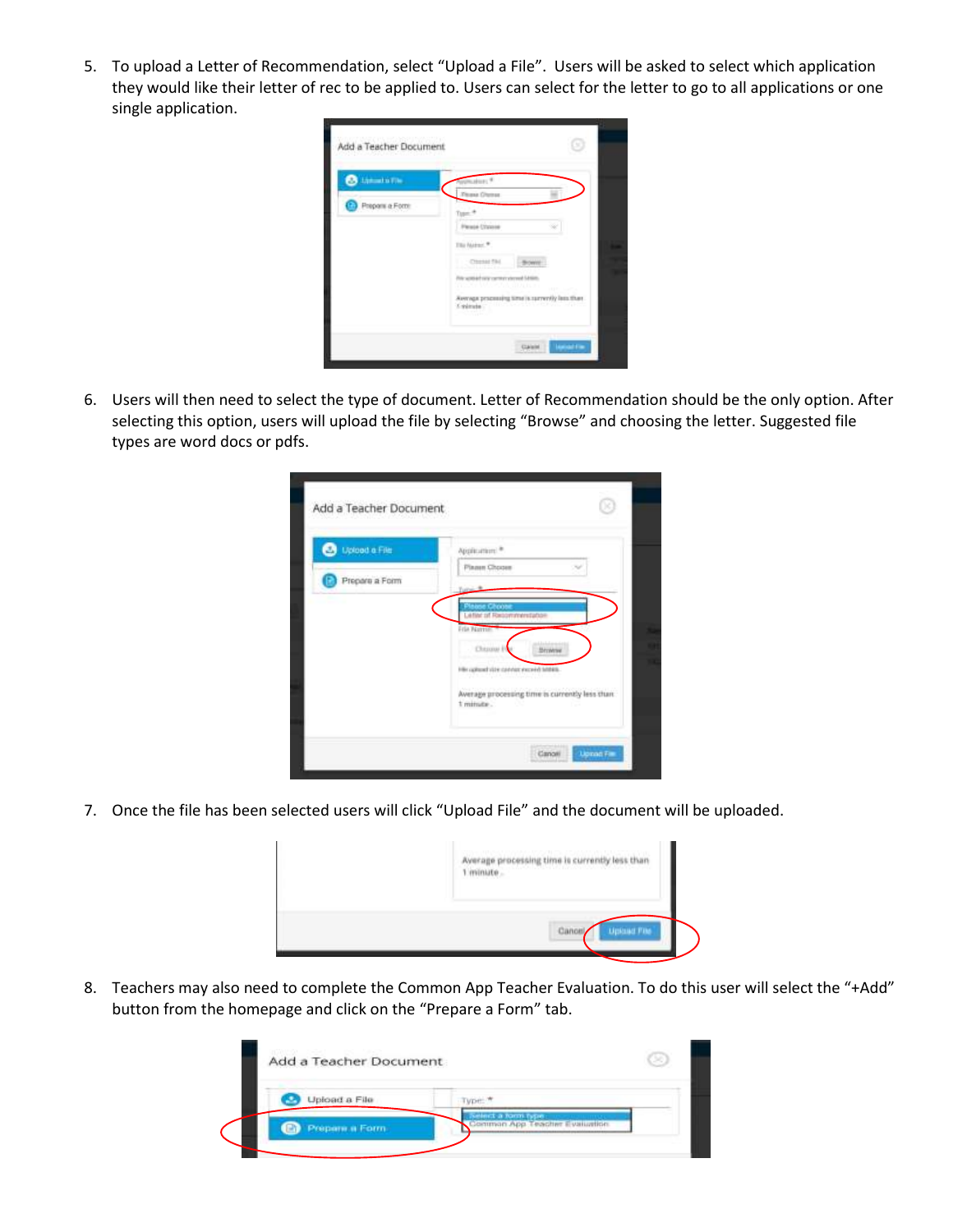5. To upload a Letter of Recommendation, select "Upload a File". Users will be asked to select which application they would like their letter of rec to be applied to. Users can select for the letter to go to all applications or one single application.

| <b>B</b> Limitation | mature. <sup>4</sup>                                                                                                           |
|---------------------|--------------------------------------------------------------------------------------------------------------------------------|
|                     | <b><i>Those Divine</i></b>                                                                                                     |
| Prepons a Form      | Topic <sup>18</sup>                                                                                                            |
|                     | Person Christen                                                                                                                |
|                     | The Nation *                                                                                                                   |
|                     | <b>COMMENT</b><br>Bown                                                                                                         |
|                     | Principal servicement stered GMSM.                                                                                             |
|                     | in service between a magnesia<br><b>TEP</b> Sales<br>Assessing processing time is surrently last than<br>Colorado<br>Casimia . |

6. Users will then need to select the type of document. Letter of Recommendation should be the only option. After selecting this option, users will upload the file by selecting "Browse" and choosing the letter. Suggested file types are word docs or pdfs.

| <b>Upload a File</b><br>z. | Application: <sup>as</sup>                                  |
|----------------------------|-------------------------------------------------------------|
|                            | Pinnen Choose                                               |
| Prepara a Form             |                                                             |
|                            | <b><i>Sales Choose</i></b>                                  |
|                            | <b>Letter of Recommendation</b><br>Fria Namme               |
|                            | Chicago P<br><b>Micheler</b>                                |
|                            | Hills called vize connect exceed bitten.                    |
|                            |                                                             |
|                            | Average processing time is currently less than<br>1 minute. |

7. Once the file has been selected users will click "Upload File" and the document will be uploaded.

| rocessing time is currently less than |  |
|---------------------------------------|--|
| plant Fits.                           |  |

8. Teachers may also need to complete the Common App Teacher Evaluation. To do this user will select the "+Add" button from the homepage and click on the "Prepare a Form" tab.

| Upload a File |         |
|---------------|---------|
| Prepam a Form | ET LASE |